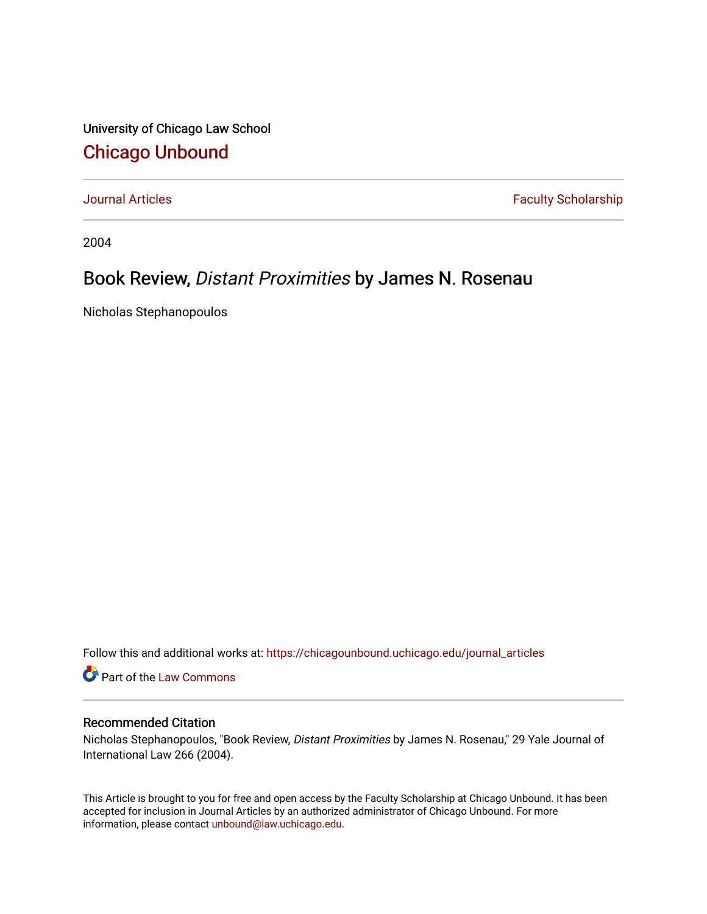University of Chicago Law School [Chicago Unbound](https://chicagounbound.uchicago.edu/)

[Journal Articles](https://chicagounbound.uchicago.edu/journal_articles) **Faculty Scholarship Faculty Scholarship** 

2004

## Book Review, Distant Proximities by James N. Rosenau

Nicholas Stephanopoulos

Follow this and additional works at: [https://chicagounbound.uchicago.edu/journal\\_articles](https://chicagounbound.uchicago.edu/journal_articles?utm_source=chicagounbound.uchicago.edu%2Fjournal_articles%2F2682&utm_medium=PDF&utm_campaign=PDFCoverPages) 

Part of the [Law Commons](http://network.bepress.com/hgg/discipline/578?utm_source=chicagounbound.uchicago.edu%2Fjournal_articles%2F2682&utm_medium=PDF&utm_campaign=PDFCoverPages)

## Recommended Citation

Nicholas Stephanopoulos, "Book Review, Distant Proximities by James N. Rosenau," 29 Yale Journal of International Law 266 (2004).

This Article is brought to you for free and open access by the Faculty Scholarship at Chicago Unbound. It has been accepted for inclusion in Journal Articles by an authorized administrator of Chicago Unbound. For more information, please contact [unbound@law.uchicago.edu](mailto:unbound@law.uchicago.edu).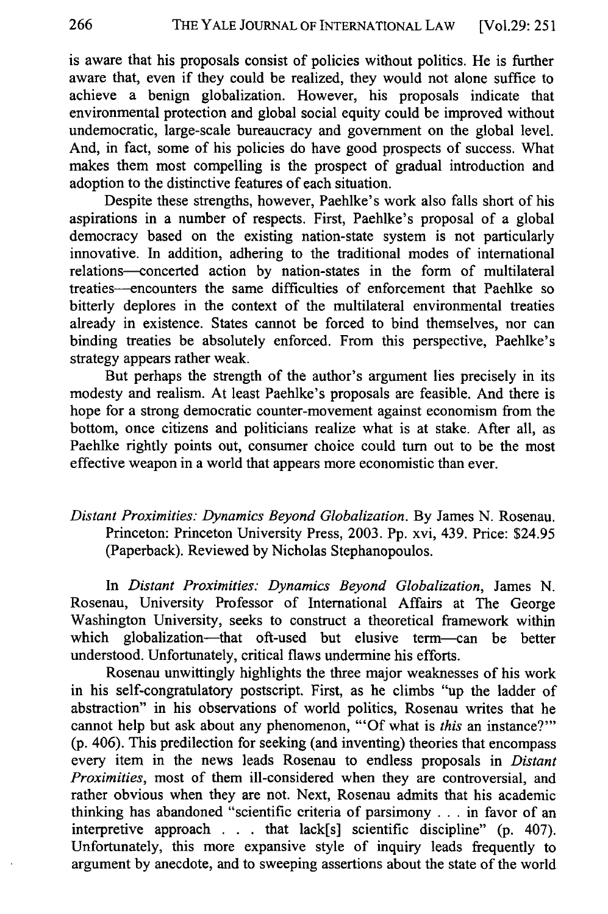is aware that his proposals consist of policies without politics. He is further aware that, even if they could be realized, they would not alone suffice to achieve a benign globalization. However, his proposals indicate that environmental protection and global social equity could be improved without undemocratic, large-scale bureaucracy and government on the global level. And, in fact, some of his policies do have good prospects of success. What makes them most compelling is the prospect of gradual introduction and adoption to the distinctive features of each situation.

Despite these strengths, however, Paehlke's work also falls short of his aspirations in a number of respects. First, Paehlke's proposal of a global democracy based on the existing nation-state system is not particularly innovative. In addition, adhering to the traditional modes of international relations-concerted action by nation-states in the form of multilateral treaties--encounters the same difficulties of enforcement that Paehlke so bitterly deplores in the context of the multilateral environmental treaties already in existence. States cannot be forced to bind themselves, nor can binding treaties be absolutely enforced. From this perspective, Paehlke's strategy appears rather weak.

But perhaps the strength of the author's argument lies precisely in its modesty and realism. At least Paehlke's proposals are feasible. And there is hope for a strong democratic counter-movement against economism from the bottom, once citizens and politicians realize what is at stake. After all, as Paehlke rightly points out, consumer choice could turn out to be the most effective weapon in a world that appears more economistic than ever.

## *Distant Proximities: Dynamics Beyond Globalization.* By James N. Rosenau. Princeton: Princeton University Press, 2003. Pp. xvi, 439. Price: \$24.95 (Paperback). Reviewed by Nicholas Stephanopoulos.

In *Distant Proximities: Dynamics Beyond Globalization,* James N. Rosenau, University Professor of International Affairs at The George Washington University, seeks to construct a theoretical framework within which globalization-that oft-used but elusive term-can be better understood. Unfortunately, critical flaws undermine his efforts.

Rosenau unwittingly highlights the three major weaknesses of his work in his self-congratulatory postscript. First, as he climbs "up the ladder of abstraction" in his observations of world politics, Rosenau writes that he cannot help but ask about any phenomenon, "'Of what is *this* an instance?"' (p. 406). This predilection for seeking (and inventing) theories that encompass every item in the news leads Rosenau to endless proposals in *Distant Proximities,* most of them ill-considered when they are controversial, and rather obvious when they are not. Next, Rosenau admits that his academic thinking has abandoned "scientific criteria of parsimony **...** in favor of an interpretive approach **.** . . that lack[s] scientific discipline" (p. 407). Unfortunately, this more expansive style of inquiry leads frequently to argument by anecdote, and to sweeping assertions about the state of the world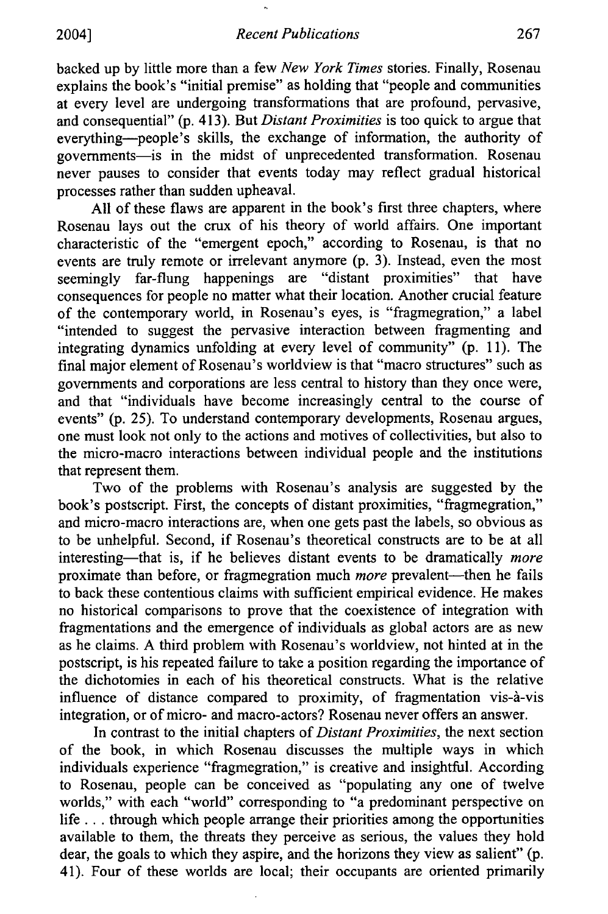backed up by little more than a few *New York Times* stories. Finally, Rosenau explains the book's "initial premise" as holding that "people and communities at every level are undergoing transformations that are profound, pervasive, and consequential" (p. 413). But *Distant Proximities* is too quick to argue that everything-people's skills, the exchange of information, the authority of governments-is in the midst of unprecedented transformation. Rosenau never pauses to consider that events today may reflect gradual historical processes rather than sudden upheaval.

All of these flaws are apparent in the book's first three chapters, where Rosenau lays out the crux of his theory of world affairs. One important characteristic of the "emergent epoch," according to Rosenau, is that no events are truly remote or irrelevant anymore (p. 3). Instead, even the most seemingly far-flung happenings are "distant proximities" that have consequences for people no matter what their location. Another crucial feature of the contemporary world, in Rosenau's eyes, is "fragmegration," a label "intended to suggest the pervasive interaction between fragmenting and integrating dynamics unfolding at every level of community" (p. 11). The final major element of Rosenau's worldview is that "macro structures" such as governments and corporations are less central to history than they once were, and that "individuals have become increasingly central to the course of events" (p. 25). To understand contemporary developments, Rosenau argues, one must look not only to the actions and motives of collectivities, but also to the micro-macro interactions between individual people and the institutions that represent them.

Two of the problems with Rosenau's analysis are suggested by the book's postscript. First, the concepts of distant proximities, "fragmegration," and micro-macro interactions are, when one gets past the labels, so obvious as to be unhelpful. Second, if Rosenau's theoretical constructs are to be at all interesting—that is, if he believes distant events to be dramatically *more* proximate than before, or fragmegration much *more* prevalent—then he fails to back these contentious claims with sufficient empirical evidence. He makes no historical comparisons to prove that the coexistence of integration with fragmentations and the emergence of individuals as global actors are as new as he claims. A third problem with Rosenau's worldview, not hinted at in the postscript, is his repeated failure to take a position regarding the importance of the dichotomies in each of his theoretical constructs. What is the relative influence of distance compared to proximity, of fragmentation vis-à-vis integration, or of micro- and macro-actors? Rosenau never offers an answer.

In contrast to the initial chapters of *Distant Proximities,* the next section of the book, in which Rosenau discusses the multiple ways in which individuals experience "fragmegration," is creative and insightful. According to Rosenau, people can be conceived as "populating any one of twelve worlds," with each "world" corresponding to "a predominant perspective on life... through which people arrange their priorities among the opportunities available to them, the threats they perceive as serious, the values they hold dear, the goals to which they aspire, and the horizons they view as salient" (p. 41). Four of these worlds are local; their occupants are oriented primarily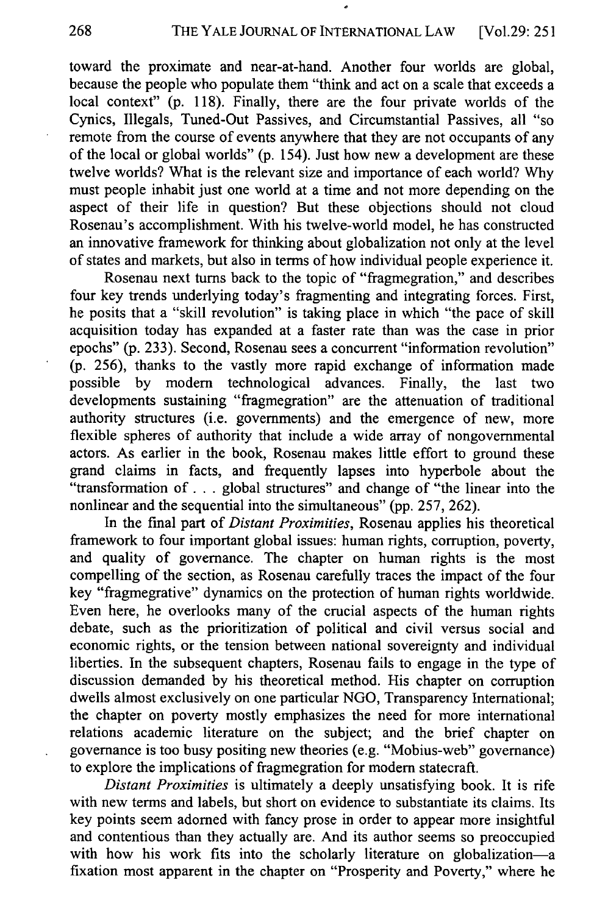toward the proximate and near-at-hand. Another four worlds are global, because the people who populate them "think and act on a scale that exceeds a local context" (p. 118). Finally, there are the four private worlds of the Cynics, Illegals, Tuned-Out Passives, and Circumstantial Passives, all "so remote from the course of events anywhere that they are not occupants of any of the local or global worlds" (p. 154). Just how new a development are these twelve worlds? What is the relevant size and importance of each world? Why must people inhabit just one world at a time and not more depending on the aspect of their life in question? But these objections should not cloud Rosenau's accomplishment. With his twelve-world model, he has constructed an innovative framework for thinking about globalization not only at the level of states and markets, but also in terms of how individual people experience it.

Rosenau next turns back to the topic of "fragmegration," and describes four key trends underlying today's fragmenting and integrating forces. First, he posits that a "skill revolution" is taking place in which "the pace of skill acquisition today has expanded at a faster rate than was the case in prior epochs" (p. 233). Second, Rosenau sees a concurrent "information revolution" (p. 256), thanks to the vastly more rapid exchange of information made possible by modem technological advances. Finally, the last two developments sustaining "fragmegration" are the attenuation of traditional authority structures (i.e. governments) and the emergence of new, more flexible spheres of authority that include a wide array of nongovernmental actors. As earlier in the book, Rosenau makes little effort to ground these grand claims in facts, and frequently lapses into hyperbole about the "transformation **of. .** . global structures" and change of "the linear into the nonlinear and the sequential into the simultaneous" (pp. 257, 262).

In the final part of *Distant Proximities,* Rosenau applies his theoretical framework to four important global issues: human rights, corruption, poverty, and quality of governance. The chapter on human rights is the most compelling of the section, as Rosenau carefully traces the impact of the four key "fragmegrative" dynamics on the protection of human rights worldwide. Even here, he overlooks many of the crucial aspects of the human rights debate, such as the prioritization of political and civil versus social and economic rights, or the tension between national sovereignty and individual liberties. In the subsequent chapters, Rosenau fails to engage in the type of discussion demanded by his theoretical method. His chapter on corruption dwells almost exclusively on one particular NGO, Transparency International; the chapter on poverty mostly emphasizes the need for more international relations academic literature on the subject; and the brief chapter on governance is too busy positing new theories (e.g. "Mobius-web" governance) to explore the implications of fragmegration for modern statecraft.

*Distant Proximities* is ultimately a deeply unsatisfying book. It is rife with new terms and labels, but short on evidence to substantiate its claims. Its key points seem adorned with fancy prose in order to appear more insightful and contentious than they actually are. And its author seems so preoccupied with how his work fits into the scholarly literature on globalization-a fixation most apparent in the chapter on "Prosperity and Poverty," where he